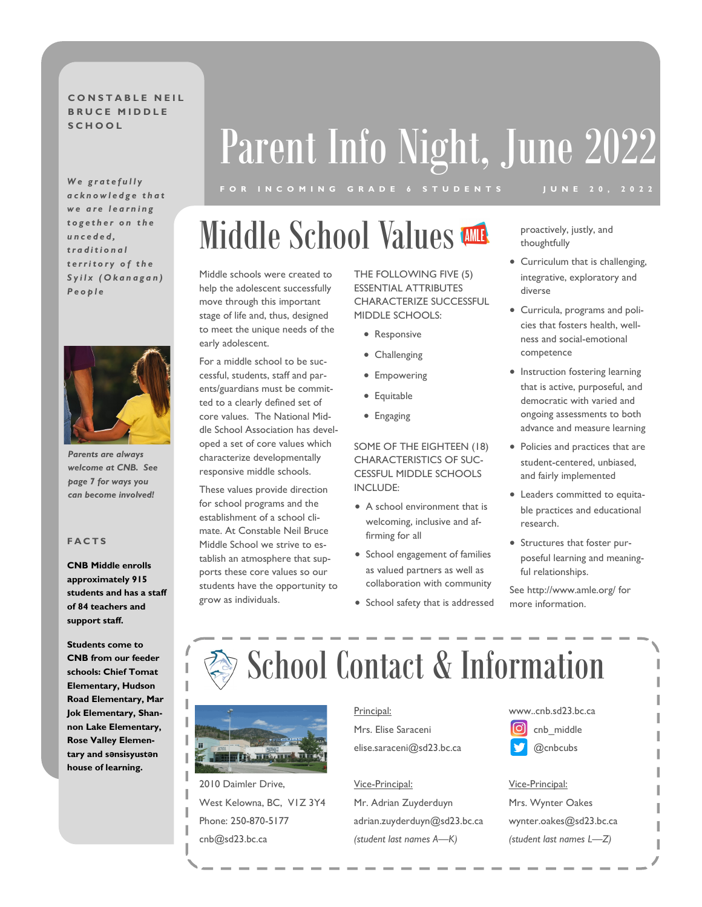### **CONSTABLE NELL B R U C E M I D D L E**

We gratefully *a c k n o w l e d g e t h a t w e a r e l e a r n i n g t o g e t h e r o n t h e u n c e d e d , t r a d i t i o n a l t e r r i t o r y o f t h e S y i l x ( O k a n a g a n ) P e o p l e*



*Parents are always welcome at CNB. See page 7 for ways you can become involved!*

#### **F A C T S**

**CNB Middle enrolls approximately 915 students and has a staff of 84 teachers and support staff.**

**Students come to CNB from our feeder schools: Chief Tomat Elementary, Hudson Road Elementary, Mar Jok Elementary, Shannon Lake Elementary, Rose Valley Elementary and sənsisyustən house of learning.**

# **SCHOOL** Parent Info Night, June 2022

### Middle School Values **WILL proactively, justly, and**

Middle schools were created to help the adolescent successfully move through this important stage of life and, thus, designed to meet the unique needs of the early adolescent.

For a middle school to be successful, students, staff and parents/guardians must be committed to a clearly defined set of core values. The National Middle School Association has developed a set of core values which characterize developmentally responsive middle schools.

These values provide direction for school programs and the establishment of a school climate. At Constable Neil Bruce Middle School we strive to establish an atmosphere that supports these core values so our students have the opportunity to grow as individuals.

THE FOLLOWING FIVE (5) ESSENTIAL ATTRIBUTES CHARACTERIZE SUCCESSFUL MIDDLE SCHOOLS:

- Responsive
- Challenging
- Empowering
- Equitable
- Engaging

SOME OF THE EIGHTEEN (18) CHARACTERISTICS OF SUC-CESSFUL MIDDLE SCHOOLS INCLUDE:

- A school environment that is welcoming, inclusive and affirming for all
- School engagement of families as valued partners as well as collaboration with community
- School safety that is addressed

thoughtfully

- Curriculum that is challenging, integrative, exploratory and diverse
- Curricula, programs and policies that fosters health, wellness and social-emotional competence
- Instruction fostering learning that is active, purposeful, and democratic with varied and ongoing assessments to both advance and measure learning
- Policies and practices that are student-centered, unbiased, and fairly implemented
- Leaders committed to equitable practices and educational research.
- Structures that foster purposeful learning and meaningful relationships.

See http://www.amle.org/ for more information.

## School Contact & Information



2010 Daimler Drive, West Kelowna, BC, V1Z 3Y4 Phone: 250-870-5177 cnb@sd23.bc.ca

### Principal:

Mrs. Elise Saraceni elise.saraceni@sd23.bc.ca

### Vice-Principal:

Mr. Adrian Zuyderduyn adrian.zuyderduyn@sd23.bc.ca *(student last names A—K)*

### www..cnb.sd23.bc.ca

ſo cnb\_middle @cnbcubs

### Vice-Principal:

Mrs. Wynter Oakes wynter.oakes@sd23.bc.ca *(student last names L—Z)*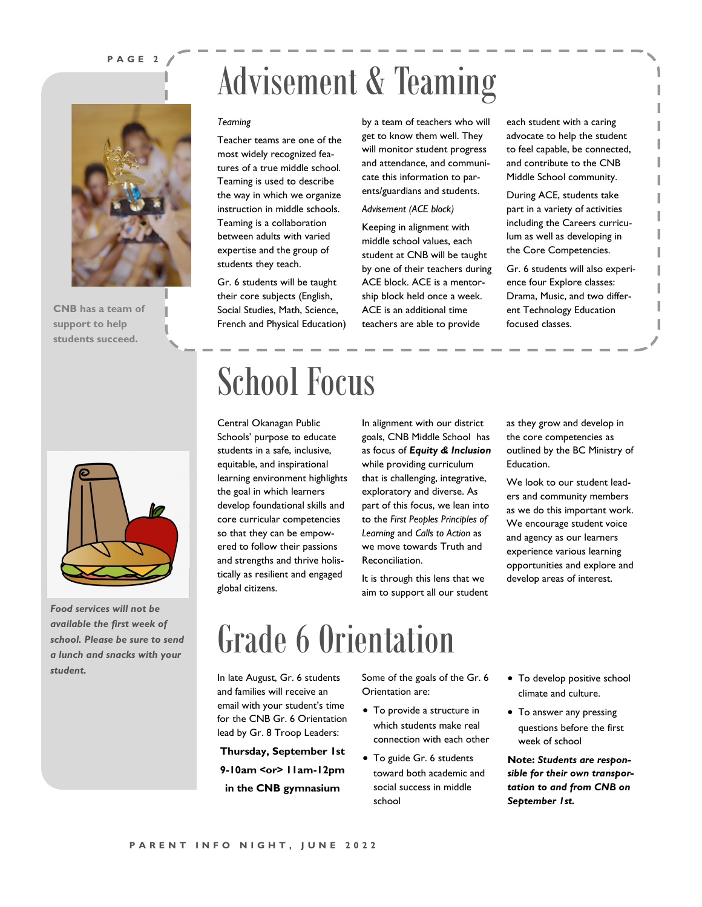#### **P A G E 2**

**CNB has a team of support to help students succeed.**

### Advisement & Teaming

#### *Teaming*

Teacher teams are one of the most widely recognized features of a true middle school. Teaming is used to describe the way in which we organize instruction in middle schools. Teaming is a collaboration between adults with varied expertise and the group of students they teach.

Gr. 6 students will be taught their core subjects (English, Social Studies, Math, Science, French and Physical Education) by a team of teachers who will get to know them well. They will monitor student progress and attendance, and communicate this information to parents/guardians and students.

#### *Advisement (ACE block)*

Keeping in alignment with middle school values, each student at CNB will be taught by one of their teachers during ACE block. ACE is a mentorship block held once a week. ACE is an additional time teachers are able to provide

each student with a caring advocate to help the student to feel capable, be connected, and contribute to the CNB Middle School community.

During ACE, students take part in a variety of activities including the Careers curriculum as well as developing in the Core Competencies.

Gr. 6 students will also experience four Explore classes: Drama, Music, and two different Technology Education focused classes.



*Food services will not be available the first week of school. Please be sure to send a lunch and snacks with your student.*

### School Focus

Central Okanagan Public Schools' purpose to educate students in a safe, inclusive, equitable, and inspirational learning environment highlights the goal in which learners develop foundational skills and core curricular competencies so that they can be empowered to follow their passions and strengths and thrive holistically as resilient and engaged global citizens.

In alignment with our district goals, CNB Middle School has as focus of *Equity & Inclusion*  while providing curriculum that is challenging, integrative, exploratory and diverse. As part of this focus, we lean into to the *First Peoples Principles of Learning* and *Calls to Action* as we move towards Truth and Reconciliation.

It is through this lens that we aim to support all our student as they grow and develop in the core competencies as outlined by the BC Ministry of Education.

We look to our student leaders and community members as we do this important work. We encourage student voice and agency as our learners experience various learning opportunities and explore and develop areas of interest.

### Grade 6 Orientation

In late August, Gr. 6 students and families will receive an email with your student's time for the CNB Gr. 6 Orientation lead by Gr. 8 Troop Leaders:

**Thursday, September 1st 9-10am <or> 11am-12pm in the CNB gymnasium**

Some of the goals of the Gr. 6 Orientation are:

- To provide a structure in which students make real connection with each other
- To guide Gr. 6 students toward both academic and social success in middle school
- To develop positive school climate and culture.
- To answer any pressing questions before the first week of school

**Note:** *Students are responsible for their own transportation to and from CNB on September 1st.*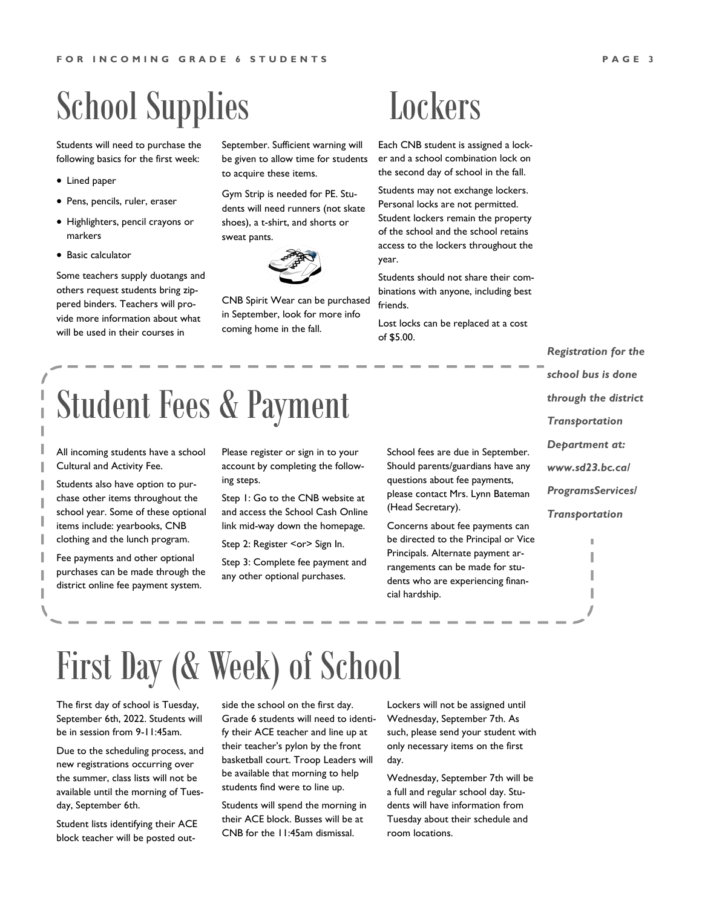### School Supplies

Students will need to purchase the following basics for the first week:

- Lined paper
- Pens, pencils, ruler, eraser
- Highlighters, pencil crayons or markers
- Basic calculator

Some teachers supply duotangs and others request students bring zippered binders. Teachers will provide more information about what will be used in their courses in

September. Sufficient warning will be given to allow time for students to acquire these items.

Gym Strip is needed for PE. Students will need runners (not skate shoes), a t-shirt, and shorts or sweat pants.



CNB Spirit Wear can be purchased in September, look for more info coming home in the fall.

### **Lockers**

Each CNB student is assigned a locker and a school combination lock on the second day of school in the fall.

Students may not exchange lockers. Personal locks are not permitted. Student lockers remain the property of the school and the school retains access to the lockers throughout the year.

Students should not share their combinations with anyone, including best friends.

Lost locks can be replaced at a cost of \$5.00.

*Registration for the school bus is done through the district Transportation Department at: www.sd23.bc.ca/ ProgramsServices/ Transportation*

I

Student Fees & Payment

All incoming students have a school Cultural and Activity Fee.

Students also have option to purchase other items throughout the school year. Some of these optional items include: yearbooks, CNB clothing and the lunch program.

Fee payments and other optional purchases can be made through the district online fee payment system.

Please register or sign in to your account by completing the following steps.

Step 1: Go to the CNB website at and access the School Cash Online link mid-way down the homepage.

Step 2: Register <or> Sign In.

Step 3: Complete fee payment and any other optional purchases.

School fees are due in September. Should parents/guardians have any questions about fee payments, please contact Mrs. Lynn Bateman (Head Secretary).

Concerns about fee payments can be directed to the Principal or Vice Principals. Alternate payment arrangements can be made for students who are experiencing financial hardship.

### First Day (& Week) of School

The first day of school is Tuesday, September 6th, 2022. Students will be in session from 9-11:45am.

Due to the scheduling process, and new registrations occurring over the summer, class lists will not be available until the morning of Tuesday, September 6th.

Student lists identifying their ACE block teacher will be posted outside the school on the first day. Grade 6 students will need to identify their ACE teacher and line up at their teacher's pylon by the front basketball court. Troop Leaders will be available that morning to help students find were to line up.

Students will spend the morning in their ACE block. Busses will be at CNB for the 11:45am dismissal.

Lockers will not be assigned until Wednesday, September 7th. As such, please send your student with only necessary items on the first day.

Wednesday, September 7th will be a full and regular school day. Students will have information from Tuesday about their schedule and room locations.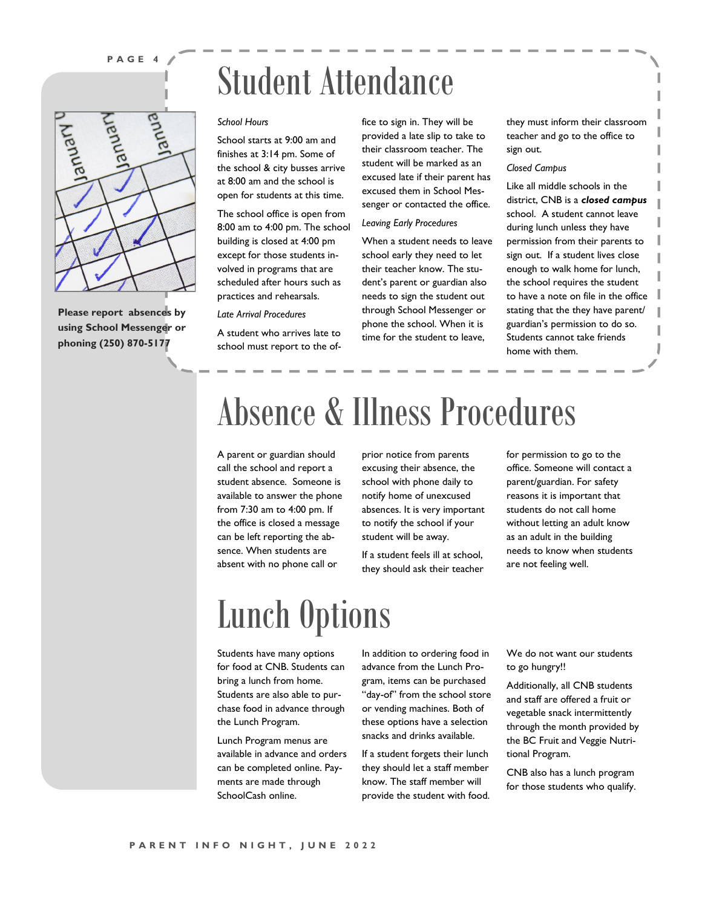### **P A G E 4**



**Please report absences by using School Messenger or phoning (250) 870-5177**

### Student Attendance

#### *School Hours*

School starts at 9:00 am and finishes at 3:14 pm. Some of the school & city busses arrive at 8:00 am and the school is open for students at this time.

The school office is open from 8:00 am to 4:00 pm. The school building is closed at 4:00 pm except for those students involved in programs that are scheduled after hours such as practices and rehearsals.

*Late Arrival Procedures*

A student who arrives late to school must report to the office to sign in. They will be provided a late slip to take to their classroom teacher. The student will be marked as an excused late if their parent has excused them in School Messenger or contacted the office.

#### *Leaving Early Procedures*

When a student needs to leave school early they need to let their teacher know. The student's parent or guardian also needs to sign the student out through School Messenger or phone the school. When it is time for the student to leave,

they must inform their classroom teacher and go to the office to sign out.

#### *Closed Campus*

Like all middle schools in the district, CNB is a *closed campus*  school. A student cannot leave during lunch unless they have permission from their parents to sign out. If a student lives close enough to walk home for lunch, the school requires the student to have a note on file in the office stating that the they have parent/ guardian's permission to do so. Students cannot take friends home with them.

### Absence & Illness Procedures

A parent or guardian should call the school and report a student absence. Someone is available to answer the phone from 7:30 am to 4:00 pm. If the office is closed a message can be left reporting the absence. When students are absent with no phone call or

prior notice from parents excusing their absence, the school with phone daily to notify home of unexcused absences. It is very important to notify the school if your student will be away.

If a student feels ill at school, they should ask their teacher for permission to go to the office. Someone will contact a parent/guardian. For safety reasons it is important that students do not call home without letting an adult know as an adult in the building needs to know when students are not feeling well.

### Lunch Options

Students have many options for food at CNB. Students can bring a lunch from home. Students are also able to purchase food in advance through the Lunch Program.

Lunch Program menus are available in advance and orders can be completed online. Payments are made through SchoolCash online.

In addition to ordering food in advance from the Lunch Program, items can be purchased "day-of" from the school store or vending machines. Both of these options have a selection snacks and drinks available.

If a student forgets their lunch they should let a staff member know. The staff member will provide the student with food. We do not want our students to go hungry!!

Additionally, all CNB students and staff are offered a fruit or vegetable snack intermittently through the month provided by the BC Fruit and Veggie Nutritional Program.

CNB also has a lunch program for those students who qualify.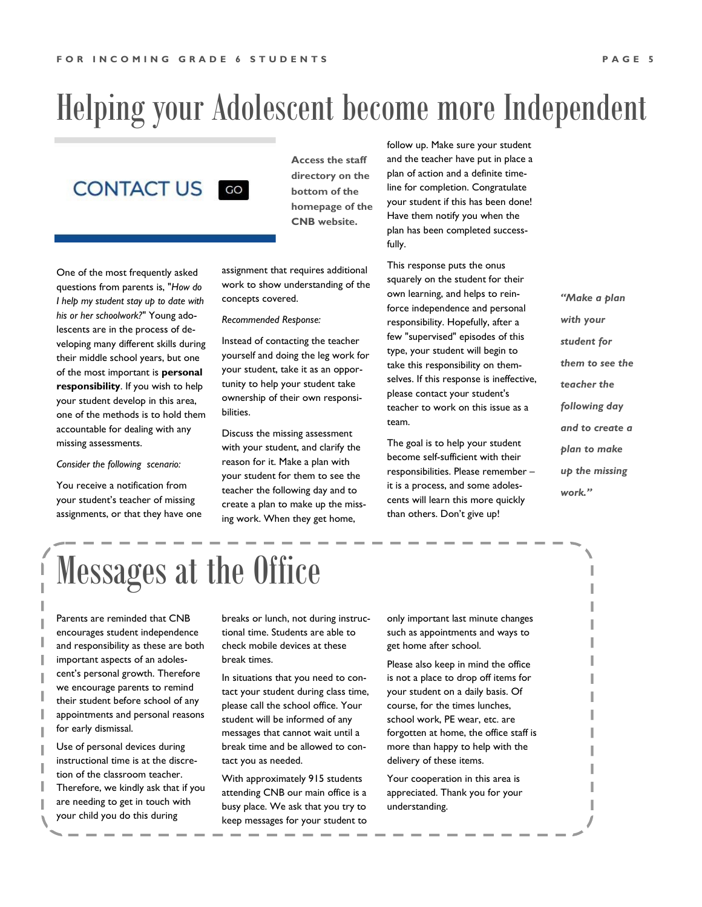### Helping your Adolescent become more Independent



**Access the staff directory on the bottom of the homepage of the CNB website.**

One of the most frequently asked questions from parents is, "*How do I help my student stay up to date with his or her schoolwork?*" Young adolescents are in the process of developing many different skills during their middle school years, but one of the most important is **personal responsibility**. If you wish to help your student develop in this area, one of the methods is to hold them accountable for dealing with any missing assessments.

*Consider the following scenario:*

You receive a notification from your student's teacher of missing assignments, or that they have one assignment that requires additional work to show understanding of the concepts covered.

*Recommended Response:*

Instead of contacting the teacher yourself and doing the leg work for your student, take it as an opportunity to help your student take ownership of their own responsibilities.

Discuss the missing assessment with your student, and clarify the reason for it. Make a plan with your student for them to see the teacher the following day and to create a plan to make up the missing work. When they get home,

follow up. Make sure your student and the teacher have put in place a plan of action and a definite timeline for completion. Congratulate your student if this has been done! Have them notify you when the plan has been completed successfully.

This response puts the onus squarely on the student for their own learning, and helps to reinforce independence and personal responsibility. Hopefully, after a few "supervised" episodes of this type, your student will begin to take this responsibility on themselves. If this response is ineffective, please contact your student's teacher to work on this issue as a team.

The goal is to help your student become self-sufficient with their responsibilities. Please remember – it is a process, and some adolescents will learn this more quickly than others. Don't give up!

*"Make a plan with your student for them to see the teacher the following day and to create a plan to make up the missing work."*

Messages at the Office

Parents are reminded that CNB encourages student independence and responsibility as these are both important aspects of an adolescent's personal growth. Therefore we encourage parents to remind their student before school of any appointments and personal reasons for early dismissal.

Use of personal devices during instructional time is at the discretion of the classroom teacher. Therefore, we kindly ask that if you are needing to get in touch with your child you do this during

breaks or lunch, not during instructional time. Students are able to check mobile devices at these break times.

In situations that you need to contact your student during class time, please call the school office. Your student will be informed of any messages that cannot wait until a break time and be allowed to contact you as needed.

With approximately 915 students attending CNB our main office is a busy place. We ask that you try to keep messages for your student to

only important last minute changes such as appointments and ways to get home after school.

Please also keep in mind the office is not a place to drop off items for your student on a daily basis. Of course, for the times lunches, school work, PE wear, etc. are forgotten at home, the office staff is more than happy to help with the delivery of these items.

Your cooperation in this area is appreciated. Thank you for your understanding.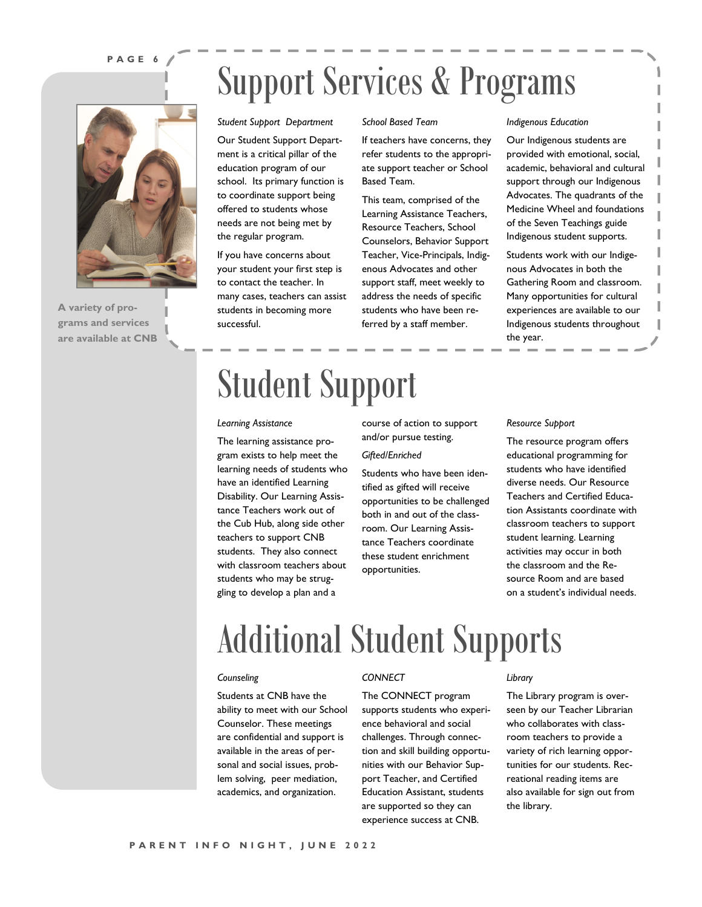#### **P A G E 6**



**A variety of programs and services are available at CNB**

#### *Student Support Department School Based Team*

Our Student Support Department is a critical pillar of the education program of our school. Its primary function is to coordinate support being offered to students whose needs are not being met by the regular program.

If you have concerns about your student your first step is to contact the teacher. In many cases, teachers can assist students in becoming more successful.

### Student Support

#### *Learning Assistance*

The learning assistance program exists to help meet the learning needs of students who have an identified Learning Disability. Our Learning Assistance Teachers work out of the Cub Hub, along side other teachers to support CNB students. They also connect with classroom teachers about students who may be struggling to develop a plan and a

course of action to support and/or pursue testing. *Gifted/Enriched*

Support Services & Programs

Based Team.

If teachers have concerns, they refer students to the appropriate support teacher or School

This team, comprised of the Learning Assistance Teachers, Resource Teachers, School Counselors, Behavior Support Teacher, Vice-Principals, Indigenous Advocates and other support staff, meet weekly to address the needs of specific students who have been referred by a staff member.

Students who have been identified as gifted will receive opportunities to be challenged both in and out of the classroom. Our Learning Assistance Teachers coordinate these student enrichment opportunities.

#### *Indigenous Education*

Our Indigenous students are provided with emotional, social, academic, behavioral and cultural support through our Indigenous Advocates. The quadrants of the Medicine Wheel and foundations of the Seven Teachings guide Indigenous student supports.

Students work with our Indigenous Advocates in both the Gathering Room and classroom. Many opportunities for cultural experiences are available to our Indigenous students throughout the year.

#### *Resource Support*

The resource program offers educational programming for students who have identified diverse needs. Our Resource Teachers and Certified Education Assistants coordinate with classroom teachers to support student learning. Learning activities may occur in both the classroom and the Resource Room and are based on a student's individual needs.

### Additional Student Supports

#### *Counseling*

Students at CNB have the ability to meet with our School Counselor. These meetings are confidential and support is available in the areas of personal and social issues, problem solving, peer mediation, academics, and organization.

#### *CONNECT*

The CONNECT program supports students who experience behavioral and social challenges. Through connection and skill building opportunities with our Behavior Support Teacher, and Certified Education Assistant, students are supported so they can experience success at CNB.

#### *Library*

The Library program is overseen by our Teacher Librarian who collaborates with classroom teachers to provide a variety of rich learning opportunities for our students. Recreational reading items are also available for sign out from the library.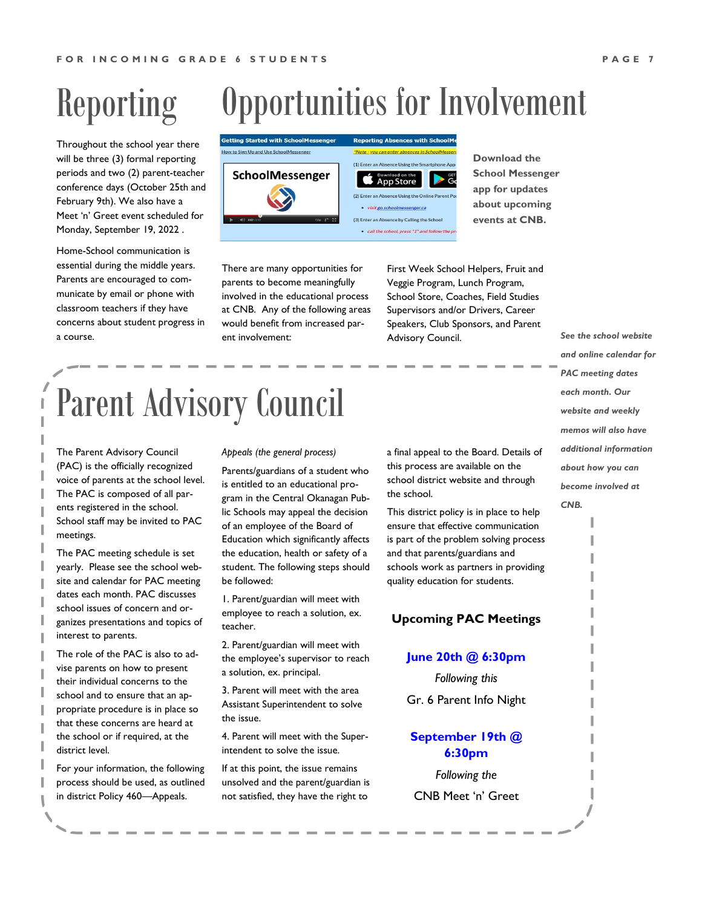### Reporting

Throughout the school year there will be three (3) formal reporting periods and two (2) parent-teacher conference days (October 25th and February 9th). We also have a Meet 'n' Greet event scheduled for Monday, September 19, 2022 .

Home-School communication is essential during the middle years. Parents are encouraged to communicate by email or phone with classroom teachers if they have concerns about student progress in a course.

### Opportunities for Involvement



There are many opportunities for parents to become meaningfully involved in the educational process at CNB. Any of the following areas would benefit from increased parent involvement:

First Week School Helpers, Fruit and Veggie Program, Lunch Program, School Store, Coaches, Field Studies Supervisors and/or Drivers, Career Speakers, Club Sponsors, and Parent Advisory Council.

**Download the School Messenger app for updates about upcoming events at CNB.**

Parent Advisory Council

The Parent Advisory Council (PAC) is the officially recognized voice of parents at the school level. The PAC is composed of all parents registered in the school. School staff may be invited to PAC meetings.

The PAC meeting schedule is set yearly. Please see the school website and calendar for PAC meeting dates each month. PAC discusses school issues of concern and organizes presentations and topics of interest to parents.

The role of the PAC is also to advise parents on how to present their individual concerns to the school and to ensure that an appropriate procedure is in place so that these concerns are heard at the school or if required, at the district level.

For your information, the following process should be used, as outlined in district Policy 460—Appeals.

#### *Appeals (the general process)*

Parents/guardians of a student who is entitled to an educational program in the Central Okanagan Public Schools may appeal the decision of an employee of the Board of Education which significantly affects the education, health or safety of a student. The following steps should be followed:

1. Parent/guardian will meet with employee to reach a solution, ex. teacher.

2. Parent/guardian will meet with the employee's supervisor to reach a solution, ex. principal.

3. Parent will meet with the area Assistant Superintendent to solve the issue.

4. Parent will meet with the Superintendent to solve the issue.

If at this point, the issue remains unsolved and the parent/guardian is not satisfied, they have the right to

a final appeal to the Board. Details of this process are available on the school district website and through the school.

This district policy is in place to help ensure that effective communication is part of the problem solving process and that parents/guardians and schools work as partners in providing quality education for students.

### **Upcoming PAC Meetings**

### **June 20th @ 6:30pm**

*Following this* 

Gr. 6 Parent Info Night

### **September 19th @ 6:30pm**

*Following the*  CNB Meet 'n' Greet *See the school website and online calendar for PAC meeting dates each month. Our website and weekly memos will also have additional information about how you can become involved at CNB.*